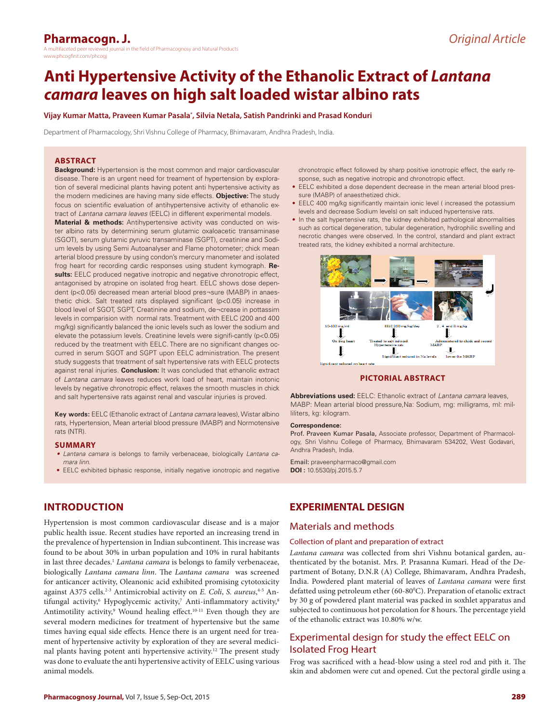# **Pharmacogn. J.**

a maltifaceted peer a multifaceted in the field of Pharmacognosy and Natural Products www.phcogfirst.com/phcogj

# **Anti Hypertensive Activity of the Ethanolic Extract of** *Lantana camara* **leaves on high salt loaded wistar albino rats**

#### **Vijay Kumar Matta, Praveen Kumar Pasala\* , Silvia Netala, Satish Pandrinki and Prasad Konduri**

Department of Pharmacology, Shri Vishnu College of Pharmacy, Bhimavaram, Andhra Pradesh, India.

#### **ABSTRACT**

**Background:** Hypertension is the most common and major cardiovascular disease. There is an urgent need for treament of hypertension by exploration of several medicinal plants having potent anti hypertensive activity as the modern medicines are having many side effects. **Objective:** The study focus on scientific evaluation of antihypertensive activity of ethanolic extract of *Lantana camara leaves* (EELC) in different experimental models.

**Material & methods:** Antihypertensive activity was conducted on wister albino rats by determining serum glutamic oxaloacetic transaminase (SGOT), serum glutamic pyruvic transaminase (SGPT), creatinine and Sodium levels by using Semi Autoanalyser and Flame photometer; chick mean arterial blood pressure by using condon's mercury manometer and isolated frog heart for recording cardic responses using student kymograph. **Results:** EELC produced negative inotropic and negative chronotropic effect, antagonised by atropine on isolated frog heart. EELC shows dose dependent (p<0.05) decreased mean arterial blood pres¬sure (MABP) in anaesthetic chick. Salt treated rats displayed significant (p<0.05) increase in blood level of SGOT, SGPT, Creatinine and sodium, de¬crease in pottassim levels in comparision with normal rats. Treatment with EELC (200 and 400 mg/kg) significantly balanced the ionic levels such as lower the sodium and elevate the potassium levels. Creatinine levels were signifi-cantly (p<0.05) reduced by the treatment with EELC. There are no significant changes occurred in serum SGOT and SGPT upon EELC administration. The present study suggests that treatment of salt hypertensive rats with EELC protects against renal injuries. **Conclusion:** It was concluded that ethanolic extract of *Lantana camara* leaves reduces work load of heart, maintain inotonic levels by negative chronotropic effect, relaxes the smooth muscles in chick and salt hypertensive rats against renal and vascular injuries is proved.

**Key words:** EELC (Ethanolic extract of *Lantana camara* leaves), Wistar albino rats, Hypertension, Mean arterial blood pressure (MABP) and Normotensive rats (NTR).

#### **SUMMARY**

- *• Lantana camara* is belongs to family verbenaceae, biologically *Lantana camara linn*.
- EELC exhibited biphasic response, initially negative ionotropic and negative

# **INTRODUCTION**

Hypertension is most common cardiovascular disease and is a major public health issue. Recent studies have reported an increasing trend in the prevalence of hypertension in Indian subcontinent. This increase was found to be about 30% in urban population and 10% in rural habitants in last three decades.<sup>1</sup> Lantana camara is belongs to family verbenaceae, biologically *Lantana camara linn*. The *Lantana camara* was screened for anticancer activity, Oleanonic acid exhibited promising cytotoxicity against A375 cells.<sup>2-3</sup> Antimicrobial activity on *E. Coli*, *S. aureus*,<sup>4-5</sup> Antifungal activity,<sup>6</sup> Hypoglycemic activity,<sup>7</sup> Anti-inflammatory activity,<sup>8</sup> Antimotility activity,<sup>9</sup> Wound healing effect.<sup>10-11</sup> Even though they are several modern medicines for treatment of hypertensive but the same times having equal side effects. Hence there is an urgent need for treament of hypertensive activity by exploration of they are several medicinal plants having potent anti hypertensive activity.12 The present study was done to evaluate the anti hypertensive activity of EELC using various animal models.

chronotropic effect followed by sharp positive ionotropic effect, the early response, such as negative inotropic and chronotropic effect.

- EELC exhibited a dose dependent decrease in the mean arterial blood pressure (MABP) of anaesthetized chick.
- EELC 400 mg/kg significantly maintain ionic level ( increased the potassium levels and decrease Sodium levels) on salt induced hypertensive rats.
- In the salt hypertensive rats, the kidney exhibited pathological abnormalities such as cortical degeneration, tubular degeneration, hydrophilic swelling and necrotic changes were observed. In the control, standard and plant extract treated rats, the kidney exhibited a normal architecture.



**PICTORIAL ABSTRACT**

**Abbreviations used:** EELC: Ethanolic extract of *Lantana camara* leaves, MABP: Mean arterial blood pressure,Na: Sodium, mg: milligrams, ml: milliliters, kg: kilogram.

#### **Correspondence:**

Prof. Praveen Kumar Pasala, Associate professor, Department of Pharmacology, Shri Vishnu College of Pharmacy, Bhimavaram 534202, West Godavari, Andhra Pradesh, India.

Email: praveenpharmaco@gmail.com **DOI :** 10.5530/pj.2015.5.7

# **EXPERIMENTAL DESIGN**

### Materials and methods

#### Collection of plant and preparation of extract

*Lantana camara* was collected from shri Vishnu botanical garden, authenticated by the botanist. Mrs. P. Prasanna Kumari. Head of the Department of Botany, D.N.R (A) College, Bhimavaram, Andhra Pradesh, India. Powdered plant material of leaves of *Lantana camara* were first defatted using petroleum ether (60-80°C). Preparation of etanolic extract by 30 g of powdered plant material was packed in soxhlet apparatus and subjected to continuous hot percolation for 8 hours. The percentage yield of the ethanolic extract was 10.80% w/w.

# Experimental design for study the effect EELC on Isolated Frog Heart

Frog was sacrificed with a head-blow using a steel rod and pith it. The skin and abdomen were cut and opened. Cut the pectoral girdle using a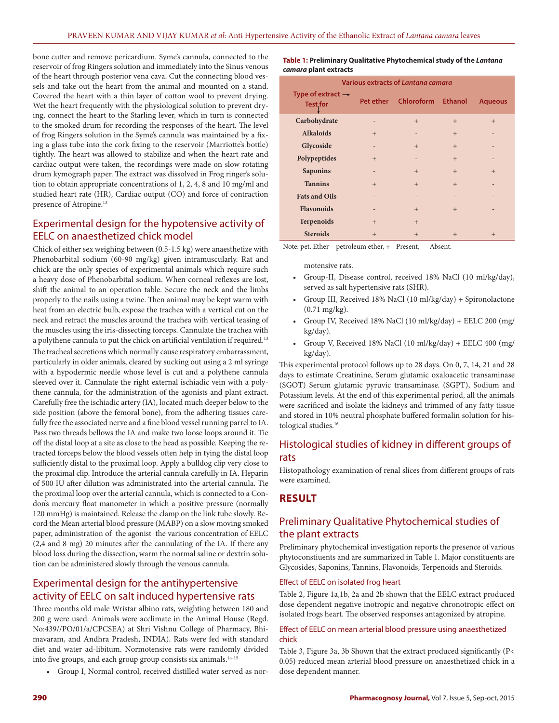bone cutter and remove pericardium. Syme's cannula, connected to the reservoir of frog Ringers solution and immediately into the Sinus venous of the heart through posterior vena cava. Cut the connecting blood vessels and take out the heart from the animal and mounted on a stand. Covered the heart with a thin layer of cotton wool to prevent drying. Wet the heart frequently with the physiological solution to prevent drying, connect the heart to the Starling lever, which in turn is connected to the smoked drum for recording the responses of the heart. The level of frog Ringers solution in the Syme's cannula was maintained by a fixing a glass tube into the cork fixing to the reservoir (Marriotte's bottle) tightly. The heart was allowed to stabilize and when the heart rate and cardiac output were taken, the recordings were made on slow rotating drum kymograph paper. The extract was dissolved in Frog ringer's solution to obtain appropriate concentrations of 1, 2, 4, 8 and 10 mg/ml and studied heart rate (HR), Cardiac output (CO) and force of contraction presence of Atropine.<sup>13</sup>

# Experimental design for the hypotensive activity of EELC on anaesthetized chick model

Chick of either sex weighing between (0.5-1.5 kg) were anaesthetize with Phenobarbital sodium (60-90 mg/kg) given intramuscularly. Rat and chick are the only species of experimental animals which require such a heavy dose of Phenobarbital sodium. When corneal reflexes are lost, shift the animal to an operation table. Secure the neck and the limbs properly to the nails using a twine. Then animal may be kept warm with heat from an electric bulb, expose the trachea with a vertical cut on the neck and retract the muscles around the trachea with vertical teasing of the muscles using the iris-dissecting forceps. Cannulate the trachea with a polythene cannula to put the chick on artificial ventilation if required.13 The tracheal secretions which normally cause respiratory embarrassment, particularly in older animals, cleared by sucking out using a 2 ml syringe with a hypodermic needle whose level is cut and a polythene cannula sleeved over it. Cannulate the right external ischiadic vein with a polythene cannula, for the administration of the agonists and plant extract. Carefully free the ischiadic artery (IA), located much deeper below to the side position (above the femoral bone), from the adhering tissues carefully free the associated nerve and a fine blood vessel running parrel to IA. Pass two threads bellows the IA and make two loose loops around it. Tie off the distal loop at a site as close to the head as possible. Keeping the retracted forceps below the blood vessels often help in tying the distal loop sufficiently distal to the proximal loop. Apply a bulldog clip very close to the proximal clip. Introduce the arterial cannula carefully in IA. Heparin of 500 IU after dilution was administrated into the arterial cannula. Tie the proximal loop over the arterial cannula, which is connected to a Condon's mercury float manometer in which a positive pressure (normally 120 mmHg) is maintained. Release the clamp on the link tube slowly. Record the Mean arterial blood pressure (MABP) on a slow moving smoked paper, administration of the agonist the various concentration of EELC (2,4 and 8 mg) 20 minutes after the cannulating of the IA. If there any blood loss during the dissection, warm the normal saline or dextrin solution can be administered slowly through the venous cannula.

# Experimental design for the antihypertensive activity of EELC on salt induced hypertensive rats

Three months old male Wristar albino rats, weighting between 180 and 200 g were used. Animals were acclimate in the Animal House (Regd. No:439//PO/01/a/CPCSEA) at Shri Vishnu College of Pharmacy, Bhimavaram, and Andhra Pradesh, INDIA). Rats were fed with standard diet and water ad-libitum. Normotensive rats were randomly divided into five groups, and each group group consists six animals.14-15

• Group I, Normal control, received distilled water served as nor-

**Table 1: Preliminary Qualitative Phytochemical study of the** *Lantana camara* **plant extracts**

| Various extracts of Lantana camara               |                          |                      |                |                |  |  |
|--------------------------------------------------|--------------------------|----------------------|----------------|----------------|--|--|
| Type of extract $\rightarrow$<br><b>Test for</b> |                          | Pet ether Chloroform | <b>Ethanol</b> | <b>Aqueous</b> |  |  |
| Carbohydrate                                     |                          | $+$                  | $+$            | $+$            |  |  |
| <b>Alkaloids</b>                                 | $+$                      |                      | $+$            |                |  |  |
| Glycoside                                        | $\overline{\phantom{0}}$ | $+$                  | $+$            |                |  |  |
| Polypeptides                                     | $+$                      |                      | $+$            |                |  |  |
| <b>Saponins</b>                                  |                          | $+$                  | $+$            | $+$            |  |  |
| <b>Tannins</b>                                   | $+$                      | $+$                  | $+$            |                |  |  |
| <b>Fats and Oils</b>                             |                          |                      |                |                |  |  |
| <b>Flavonoids</b>                                | $\overline{\phantom{0}}$ | $^{+}$               | $+$            |                |  |  |
| <b>Terpenoids</b>                                | $+$                      | $+$                  |                |                |  |  |
| <b>Steroids</b>                                  | $+$                      | $+$                  | $+$            | $+$            |  |  |

Note: pet. Ether – petroleum ether, + - Present, - - Absent.

motensive rats.

- Group-II, Disease control, received 18% NaCl (10 ml/kg/day), served as salt hypertensive rats (SHR).
- Group III, Received 18% NaCl (10 ml/kg/day) + Spironolactone (0.71 mg/kg).
- Group IV, Received 18% NaCl (10 ml/kg/day) + EELC 200 (mg/ kg/day).
- Group V, Received 18% NaCl (10 ml/kg/day) + EELC 400 (mg/ kg/day).

This experimental protocol follows up to 28 days. On 0, 7, 14, 21 and 28 days to estimate Creatinine, Serum glutamic oxaloacetic transaminase (SGOT) Serum glutamic pyruvic transaminase. (SGPT), Sodium and Potassium levels. At the end of this experimental period, all the animals were sacrificed and isolate the kidneys and trimmed of any fatty tissue and stored in 10% neutral phosphate buffered formalin solution for histological studies.<sup>16</sup>

# Histological studies of kidney in different groups of rats

Histopathology examination of renal slices from different groups of rats were examined.

## **RESULT**

# Preliminary Qualitative Phytochemical studies of the plant extracts

Preliminary phytochemical investigation reports the presence of various phytoconstiuents and are summarized in Table 1. Major constituents are Glycosides, Saponins, Tannins, Flavonoids, Terpenoids and Steroids.

#### Effect of EELC on isolated frog heart

Table 2, Figure 1a,1b, 2a and 2b shown that the EELC extract produced dose dependent negative inotropic and negative chronotropic effect on isolated frogs heart. The observed responses antagonized by atropine.

### Effect of EELC on mean arterial blood pressure using anaesthetized chick

Table 3, Figure 3a, 3b Shown that the extract produced significantly (P< 0.05) reduced mean arterial blood pressure on anaesthetized chick in a dose dependent manner.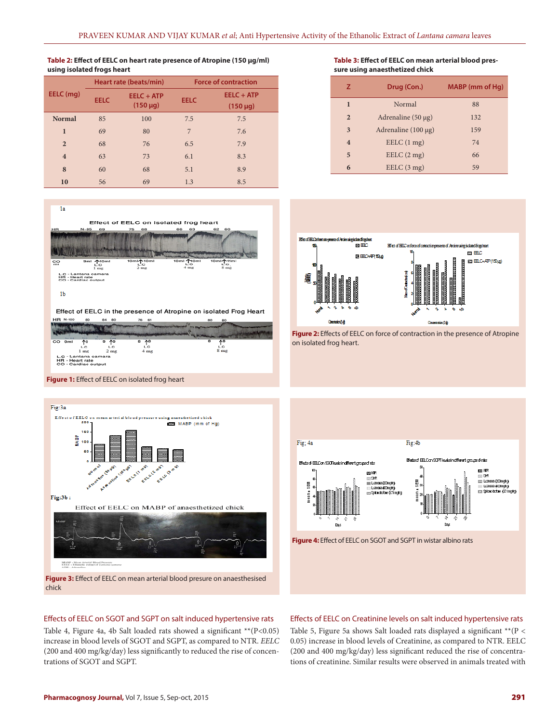#### **Table 2: Effect of EELC on heart rate presence of Atropine (150 µg/ml) using isolated frogs heart**

|                | Heart rate (beats/min) |                               | <b>Force of contraction</b> |                             |  |
|----------------|------------------------|-------------------------------|-----------------------------|-----------------------------|--|
| EELC (mg)      | <b>EELC</b>            | $EELC + ATP$<br>$(150 \mu g)$ | <b>EELC</b>                 | EELC + ATP<br>$(150 \mu g)$ |  |
| <b>Normal</b>  | 85                     | 100                           | 7.5                         | 7.5                         |  |
| $\mathbf{I}$   | 69                     | 80                            | 7                           | 7.6                         |  |
| $\overline{2}$ | 68                     | 76                            | 6.5                         | 7.9                         |  |
| $\overline{4}$ | 63                     | 73                            | 6.1                         | 8.3                         |  |
| 8              | 60                     | 68                            | 5.1                         | 8.9                         |  |
| 10             | 56                     | 69                            | 1.3                         | 8.5                         |  |



**Figure 1:** Effect of EELC on isolated frog heart





#### **Table 3: Effect of EELC on mean arterial blood pressure using anaesthetized chick**

| z                       | Drug (Con.)              | MABP (mm of Hg) |
|-------------------------|--------------------------|-----------------|
| $\mathbf{1}$            | Normal                   | 88              |
| $\overline{2}$          | Adrenaline $(50 \mu g)$  | 132             |
| 3                       | Adrenaline $(100 \mu g)$ | 159             |
| $\overline{\mathbf{4}}$ | EELC(1 mg)               | 74              |
| 5                       | EELC(2mg)                | 66              |
| 6                       | EELC(3 mg)               | 59              |



**Figure 2:** Effects of EELC on force of contraction in the presence of Atropine on isolated frog heart.



### Effects of EELC on SGOT and SGPT on salt induced hypertensive rats Table 4, Figure 4a, 4b Salt loaded rats showed a significant \*\*(P<0.05) increase in blood levels of SGOT and SGPT, as compared to NTR. *EELC* (200 and 400 mg/kg/day) less significantly to reduced the rise of concen-

Table 5, Figure 5a shows Salt loaded rats displayed a significant \*\*(P < 0.05) increase in blood levels of Creatinine, as compared to NTR. EELC (200 and 400 mg/kg/day) less significant reduced the rise of concentrations of creatinine. Similar results were observed in animals treated with

Effects of EELC on Creatinine levels on salt induced hypertensive rats

trations of SGOT and SGPT.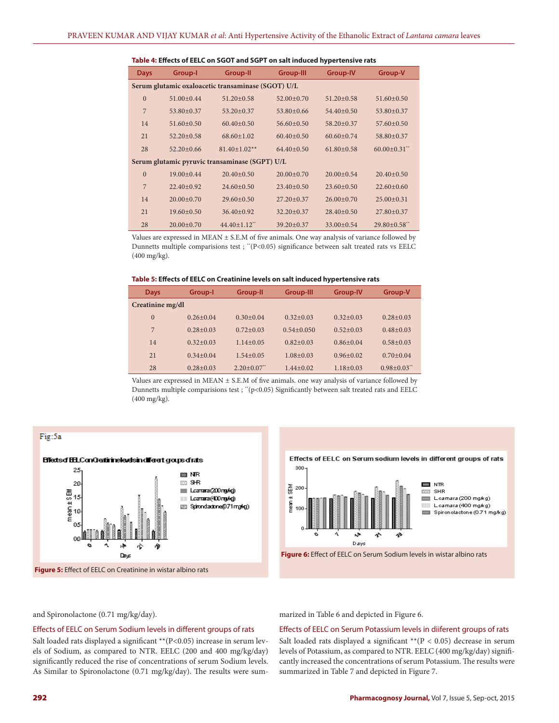| <b>Days</b>                                        | Group-I          | <b>Group-II</b>     | <b>Group-III</b> | <b>Group-IV</b>  | Group-V             |  |  |
|----------------------------------------------------|------------------|---------------------|------------------|------------------|---------------------|--|--|
| Serum glutamic oxaloacetic transaminase (SGOT) U/L |                  |                     |                  |                  |                     |  |  |
| $\overline{0}$                                     | $51.00+0.44$     | $51.20 + 0.58$      | $52.00+0.70$     | $51.20 + 0.58$   | $51.60 \pm 0.50$    |  |  |
| 7                                                  | 53.80±0.37       | $53.20 + 0.37$      | $53.80 \pm 0.66$ | $54.40+0.50$     | 53.80±0.37          |  |  |
| 14                                                 | $51.60 \pm 0.50$ | $60.40 \pm 0.50$    | $56.60 \pm 0.50$ | 58.20±0.37       | 57.60±0.50          |  |  |
| 21                                                 | $52.20 \pm 0.58$ | $68.60 \pm 1.02$    | $60.40 + 0.50$   | $60.60 + 0.74$   | 58.80±0.37          |  |  |
| 28                                                 | $52.20 \pm 0.66$ | $81.40 \pm 1.02**$  | $64.40 \pm 0.50$ | $61.80 \pm 0.58$ | $60.00 \pm 0.31$ ** |  |  |
| Serum glutamic pyruvic transaminase (SGPT) U/L     |                  |                     |                  |                  |                     |  |  |
| $\Omega$                                           | 19.00±0.44       | $20.40 \pm 0.50$    | $20.00+0.70$     | $20.00 \pm 0.54$ | $20.40 \pm 0.50$    |  |  |
| $\overline{7}$                                     | $22.40+0.92$     | $24.60+0.50$        | $23.40 \pm 0.50$ | $23.60 \pm 0.50$ | $22.60 \pm 0.60$    |  |  |
| 14                                                 | $20.00 \pm 0.70$ | $29.60 \pm 0.50$    | $27.20 \pm 0.37$ | $26.00 \pm 0.70$ | $25.00 \pm 0.31$    |  |  |
| 21                                                 | $19.60 \pm 0.50$ | $36.40 \pm 0.92$    | $32.20 \pm 0.37$ | $28.40+0.50$     | $27.80 \pm 0.37$    |  |  |
| 28                                                 | $20.00+0.70$     | $44.40 \pm 1.12$ ** | $39.20 + 0.37$   | $33.00+0.54$     | $29.80 \pm 0.58$ ** |  |  |

**Table 4: Effects of EELC on SGOT and SGPT on salt induced hypertensive rats**

Values are expressed in MEAN  $\pm$  S.E.M of five animals. One way analysis of variance followed by Dunnetts multiple comparisions test ; "(P<0.05) significance between salt treated rats vs EELC (400 mg/kg).

#### **Table 5: Effects of EELC on Creatinine levels on salt induced hypertensive rats**

| <b>Days</b>      | Group-I       | Group-II                  | <b>Group-III</b> | <b>Group-IV</b> | Group-V                     |
|------------------|---------------|---------------------------|------------------|-----------------|-----------------------------|
| Creatinine mg/dl |               |                           |                  |                 |                             |
| $\Omega$         | $0.26 + 0.04$ | $0.30 + 0.04$             | $0.32 + 0.03$    | $0.32 + 0.03$   | $0.28 + 0.03$               |
| 7                | $0.28 + 0.03$ | $0.72 + 0.03$             | $0.54 + 0.050$   | $0.52 + 0.03$   | $0.48 + 0.03$               |
| 14               | $0.32 + 0.03$ | $1.14 + 0.05$             | $0.82 + 0.03$    | $0.86 + 0.04$   | $0.58 + 0.03$               |
| 21               | $0.34 + 0.04$ | $1.54 + 0.05$             | $1.08 + 0.03$    | $0.96 + 0.02$   | $0.70 + 0.04$               |
| 28               | $0.28 + 0.03$ | $2.20+0.07$ <sup>**</sup> | $1.44 + 0.02$    | $1.18 + 0.03$   | $0.98 + 0.03$ <sup>**</sup> |

Values are expressed in MEAN  $\pm$  S.E.M of five animals. one way analysis of variance followed by Dunnetts multiple comparisions test ; "(p<0.05) Significantly between salt treated rats and EELC (400 mg/kg).



Effects of EELC on Serum sodium levels in different groups of rats



**Figure 6:** Effect of EELC on Serum Sodium levels in wistar albino rats

and Spironolactone (0.71 mg/kg/day).

#### Effects of EELC on Serum Sodium levels in different groups of rats

Salt loaded rats displayed a significant \*\* (P<0.05) increase in serum levels of Sodium, as compared to NTR. EELC (200 and 400 mg/kg/day) significantly reduced the rise of concentrations of serum Sodium levels. As Similar to Spironolactone (0.71 mg/kg/day). The results were summarized in Table 6 and depicted in Figure 6.

#### Effects of EELC on Serum Potassium levels in diiferent groups of rats

Salt loaded rats displayed a significant  $*$  ( $P < 0.05$ ) decrease in serum levels of Potassium, as compared to NTR. EELC (400 mg/kg/day) significantly increased the concentrations of serum Potassium. The results were summarized in Table 7 and depicted in Figure 7.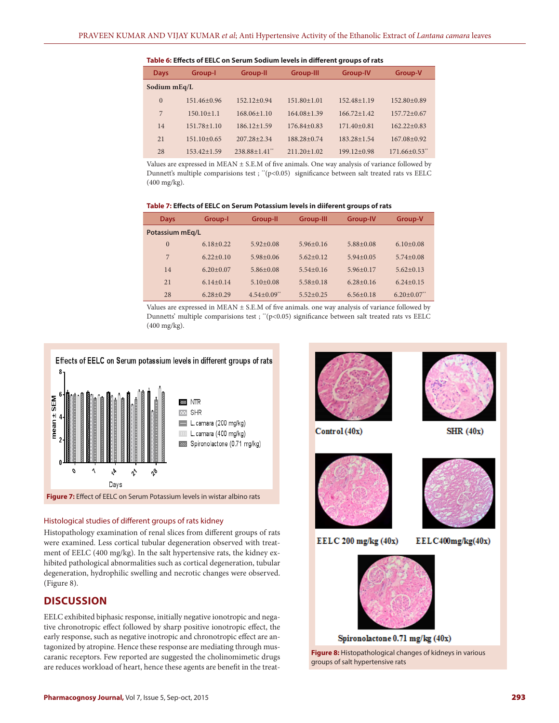#### **Table 6: Effects of EELC on Serum Sodium levels in different groups of rats**

| <b>Days</b>  | Group-I          | Group-II                      | <b>Group-III</b>  | <b>Group-IV</b> | Group-V         |
|--------------|------------------|-------------------------------|-------------------|-----------------|-----------------|
| Sodium mEq/L |                  |                               |                   |                 |                 |
| $\theta$     | $151.46 + 0.96$  | $152.12+0.94$                 | $151.80 \pm 1.01$ | $152.48 + 1.19$ | $152.80 + 0.89$ |
| 7            | $150.10 \pm 1.1$ | $168.06 \pm 1.10$             | $164.08 + 1.39$   | $166.72 + 1.42$ | $157.72 + 0.67$ |
| 14           | $151.78 + 1.10$  | $186.12 + 1.59$               | $176.84 + 0.83$   | $171.40 + 0.81$ | $162.22+0.83$   |
| 21           | $151.10+0.65$    | $207.28 + 2.34$               | $188.28 + 0.74$   | $183.28 + 1.54$ | $167.08 + 0.92$ |
| 28           | $153.42 + 1.59$  | $238.88 + 1.41$ <sup>**</sup> | $211.20 \pm 1.02$ | $199.12 + 0.98$ | $171.66 + 0.53$ |

Values are expressed in MEAN  $\pm$  S.E.M of five animals. One way analysis of variance followed by Dunnett's multiple comparisions test ; " $(p<0.05)$  significance between salt treated rats vs EELC (400 mg/kg).

#### **Table 7: Effects of EELC on Serum Potassium levels in diiferent groups of rats**

| <b>Days</b>     | Group-I       | Group-II                    | <b>Group-III</b> | <b>Group-IV</b> | Group-V       |
|-----------------|---------------|-----------------------------|------------------|-----------------|---------------|
| Potassium mEg/L |               |                             |                  |                 |               |
| $\Omega$        | $6.18+0.22$   | $5.92 + 0.08$               | $5.96 + 0.16$    | $5.88 + 0.08$   | $6.10+0.08$   |
| 7               | $6.22+0.10$   | $5.98 + 0.06$               | $5.62 + 0.12$    | $5.94 + 0.05$   | $5.74 + 0.08$ |
| 14              | $6.20+0.07$   | $5.86 + 0.08$               | $5.54+0.16$      | $5.96 + 0.17$   | $5.62+0.13$   |
| 21              | $6.14+0.14$   | $5.10+0.08$                 | $5.58 + 0.18$    | $6.28 + 0.16$   | $6.24 + 0.15$ |
| 28              | $6.28 + 0.29$ | $4.54 + 0.09$ <sup>**</sup> | $5.52 + 0.25$    | $6.56 + 0.18$   | $6.20 + 0.07$ |

Values are expressed in MEAN ± S.E.M of five animals. one way analysis of variance followed by Dunnetts' multiple comparisions test ; "(p<0.05) significance between salt treated rats vs EELC (400 mg/kg).





### Histological studies of different groups of rats kidney

Histopathology examination of renal slices from different groups of rats were examined. Less cortical tubular degeneration observed with treatment of EELC (400 mg/kg). In the salt hypertensive rats, the kidney exhibited pathological abnormalities such as cortical degeneration, tubular degeneration, hydrophilic swelling and necrotic changes were observed. (Figure 8).

### **DISCUSSION**

EELC exhibited biphasic response, initially negative ionotropic and negative chronotropic effect followed by sharp positive ionotropic effect, the early response, such as negative inotropic and chronotropic effect are antagonized by atropine. Hence these response are mediating through muscaranic receptors. Few reported are suggested the cholinomimetic drugs are reduces workload of heart, hence these agents are benefit in the treat-

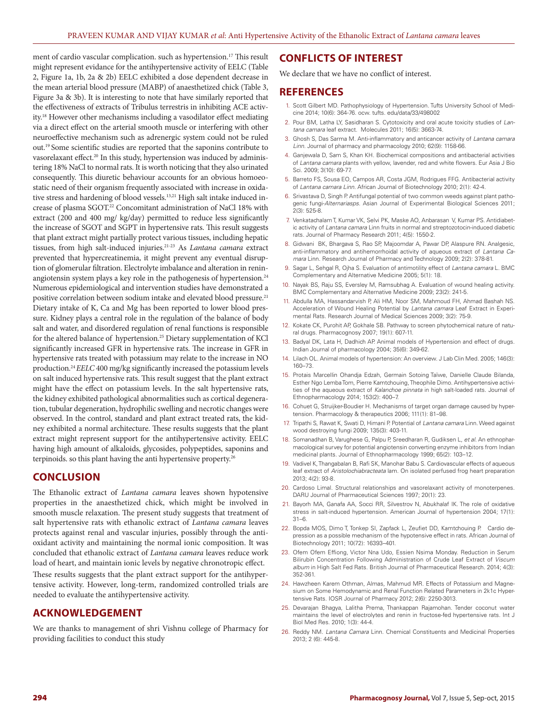ment of cardio vascular complication. such as hypertension.<sup>17</sup> This result might represent evidance for the antihypertensive activity of EELC (Table 2, Figure 1a, 1b, 2a & 2b) EELC exhibited a dose dependent decrease in the mean arterial blood pressure (MABP) of anaesthetized chick (Table 3, Figure 3a & 3b). It is interesting to note that have similarly reported that the effectiveness of extracts of Tribulus terrestris in inhibiting ACE activity.18 However other mechanisms including a vasodilator effect mediating via a direct effect on the arterial smooth muscle or interfering with other neuroeffective mechanism such as adrenergic system could not be ruled out.19 Some scientific studies are reported that the saponins contribute to vasorelaxant effect.<sup>20</sup> In this study, hypertension was induced by administering 18% NaCl to normal rats. It is worth noticing that they also urinated consequently. This diuretic behaviour accounts for an obvious homoeostatic need of their organism frequently associated with increase in oxidative stress and hardening of blood vessels.<sup>13,21</sup> High salt intake induced increase of plasma SGOT.22 Concomitant administration of NaCl 18% with extract (200 and 400 mg/ kg/day) permitted to reduce less significantly the increase of SGOT and SGPT in hypertensive rats. This result suggests that plant extract might partially protect various tissues, including hepatic tissues, from high salt-induced injuries.21-23 As *Lantana camara* extract prevented that hypercreatinemia, it might prevent any eventual disruption of glomerular filtration. Electrolyte imbalance and alteration in reninangiotensin system plays a key role in the pathogenesis of hypertension.<sup>24</sup> Numerous epidemiological and intervention studies have demonstrated a positive correlation between sodium intake and elevated blood pressure.<sup>21</sup> Dietary intake of K, Ca and Mg has been reported to lower blood pressure. Kidney plays a central role in the regulation of the balance of body salt and water, and disordered regulation of renal functions is responsible for the altered balance of hypertension.<sup>25</sup> Dietary supplementation of KCl significantly increased GFR in hypertensive rats. The increase in GFR in hypertensive rats treated with potassium may relate to the increase in NO production.24 *EELC* 400 mg/kg significantly increased the potassium levels on salt induced hypertensive rats. This result suggest that the plant extract might have the effect on potassium levels. In the salt hypertensive rats, the kidney exhibited pathological abnormalities such as cortical degeneration, tubular degeneration, hydrophilic swelling and necrotic changes were observed. In the control, standard and plant extract treated rats, the kidney exhibited a normal architecture. These results suggests that the plant extract might represent support for the antihypertensive activity. EELC having high amount of alkaloids, glycosides, polypeptides, saponins and terpinoids. so this plant having the anti hypertensive property.26

### **CONCLUSION**

The Ethanolic extract of *Lantana camara* leaves shown hypotensive properties in the anaesthetized chick, which might be involved in smooth muscle relaxation. The present study suggests that treatment of salt hypertensive rats with ethanolic extract of *Lantana camara* leaves protects against renal and vascular injuries, possibly through the antioxidant activity and maintaining the normal ionic composition. It was concluded that ethanolic extract of *Lantana camara* leaves reduce work load of heart, and maintain ionic levels by negative chronotropic effect.

These results suggests that the plant extract support for the antihypertensive activity. However, long-term, randomized controlled trials are needed to evaluate the antihypertensive activity.

### **ACKNOWLEDGEMENT**

We are thanks to management of shri Vishnu college of Pharmacy for providing facilities to conduct this study

### **CONFLICTS OF INTEREST**

We declare that we have no conflict of interest.

#### **REFERENCES**

- 1. Scott Gilbert MD. Pathophysiology of Hypertension. Tufts University School of Medicine 2014; 10(6): 364-76. ocw. tufts. edu/data/33/498002
- 2. Pour BM, Latha LY, Sasidharan S. Cytotoxicity and oral acute toxicity studies of *Lantana camara* leaf extract. Molecules 2011; 16(5): 3663-74.
- 3. Ghosh S, Das Sarma M. Anti-inflammatory and anticancer activity of *Lantana camara Linn*. Journal of pharmacy and pharmacology 2010; 62(9): 1158-66.
- 4. Ganjewala D, Sam S, Khan KH. Biochemical compositions and antibacterial activities of *Lantana camara* plants with yellow, lavender, red and white flowers. Eur Asia J Bio Sci. 2009; 3(10): 69-77.
- 5. Barreto FS, Sousa EO, Campos AR, Costa JGM, Rodrigues FFG. Antibacterial activity of *Lantana camara Linn*. African Journal of Biotechnology 2010; 2(1): 42-4.
- 6. Srivastava D, Singh P. Antifungal potential of two common weeds against plant pathogenic fungi-*Alternariasps*. Asian Journal of Experimental Biological Sciences 2011; 2(3): 525-8.
- 7. Venkatachalam T, Kumar VK, Selvi PK, Maske AO, Anbarasan V, Kumar PS. Antidiabetic activity of *Lantana camara* Linn fruits in normal and streptozotocin-induced diabetic rats. Journal of Pharmacy Research 2011; 4(5): 1550-2.
- 8. Gidwani BK, Bhargava S, Rao SP, Majoomdar A, Pawar DP, Alaspure RN. Analgesic, anti-inflammatory and antihemorrhoidal activity of aqueous extract of *Lantana Camara* Linn. Research Journal of Pharmacy and Technology 2009; 2(2): 378-81.
- 9. Sagar L, Sehgal R, Ojha S. Evaluation of antimotility effect of *Lantana camara* L. BMC Complementary and Alternative Medicine 2005; 5(1): 18.
- 10. Nayak BS, Raju SS, Eversley M, Ramsubhag A. Evaluation of wound healing activity. BMC Complementary and Alternative Medicine 2009; 23(2): 241-5.
- 11. Abdulla MA, Hassandarvish P, Ali HM, Noor SM, Mahmoud FH, Ahmad Bashah NS. Acceleration of Wound Healing Potential by *Lantana camara* Leaf Extract in Experimental Rats. Research Journal of Medical Sciences 2009; 3(2): 75-9.
- 12. Kokate CK, Purohit AP, Gokhale SB. Pathway to screen phytochemical nature of natural drugs. Pharmacognosy 2007; 19(1): 607-11.
- 13. Badyal DK, Lata H, Dadhich AP. Animal models of Hypertension and effect of drugs. Indian Journal of pharmacology 2004; 35(6): 349-62.
- 14. Lilach OL. Animal models of hypertension: An overview. J Lab Clin Med. 2005; 146(3): 160–73.
- 15. Protais Marcellin Ohandja Edzah, Germain Sotoing Taïwe, Danielle Claude Bilanda, Esther Ngo Lemba Tom, Pierre Kamtchouing, Theophile Dimo. Antihypertensive activities of the aqueous extract of *Kalanchoe pinnata* in high salt-loaded rats. Journal of Ethnopharmacology 2014; 153(2): 400–7.
- 16. Cohuet G, Struijker-Boudier H. Mechanisms of target organ damage caused by hypertension. Pharmacology & therapeutics 2006; 111(1): 81–98.
- 17. Tripathi S, Rawat K, Swati D, Himani P. Potential of *Lantana camara* Linn. Weed against wood destroying fungi 2009; 135(3): 403-11.
- 18. Somanadhan B, Varughese G, Palpu P, Sreedharan R, Gudiksen L, *et al*. An ethnopharmacological survey for potential angiotensin converting enzyme inhibitors from Indian medicinal plants. Journal of Ethnopharmacology 1999; 65(2): 103–12.
- 19. Vadivel K, Thangabalan B, Rafi SK, Manohar Babu S. Cardiovascular effects of aqueous leaf extract of *Aristolochiabracteata* lam. On isolated perfused frog heart preparation 2013; 4(2): 93-8.
- 20. Cardoso Limal. Structural relationships and vasorelaxant activity of monoterpenes. DARU Journal of Pharmaceutical Sciences 1997; 20(1): 23.
- 21. Bayorh MA, Ganafa AA, Socci RR, Silvestrov N, Abukhalaf IK. The role of oxidative stress in salt-induced hypertension. American Journal of hypertension 2004; 17(1): 31–6.
- 22. Bopda MOS, Dimo T, Tonkep SI, Zapfack L, Zeufiet DD, Kamtchouing P. Cardio depression as a possible mechanism of the hypotensive effect in rats. African Journal of Biotechnology 2011; 10(72): 16393–401.
- 23. Ofem Ofem Effiong, Victor Nna Udo, Essien Nsima Monday. Reduction in Serum Bilirubin Concentration Following Administration of Crude Leaf Extract of *Viscum album* in High Salt Fed Rats. British Journal of Pharmaceutical Research. 2014; 4(3): 352-361.
- 24. Hawzheen Karem Othman, Almas, Mahmud MR. Effects of Potassium and Magnesium on Some Hemodynamic and Renal Function Related Parameters in 2k1c Hypertensive Rats. IOSR Journal of Pharmacy 2012; 2(6): 2250-3013.
- 25. Devarajan Bhagya, Lalitha Prema, Thankappan Rajamohan. Tender coconut water maintains the level of electrolytes and renin in fructose-fed hypertensive rats. Int J Biol Med Res. 2010; 1(3): 44-4.
- 26. Reddy NM. *Lantana Camara* Linn. Chemical Constituents and Medicinal Properties 2013; 2 (6): 445-8.